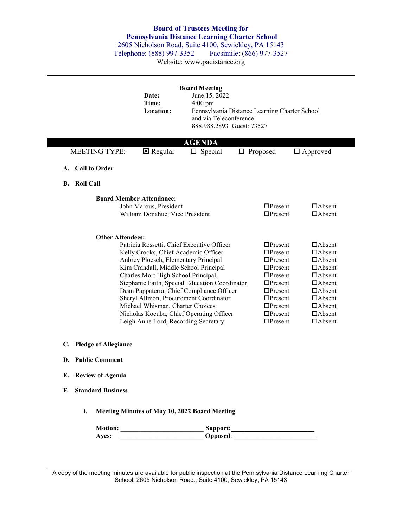## **Board of Trustees Meeting for Pennsylvania Distance Learning Charter School**

2605 Nicholson Road, Suite 4100, Sewickley, PA 15143<br>
Felephone: (888) 997-3352 Facsimile: (866) 977-3527 Telephone: (888) 997-3352

Website: www.padistance.org

|                                | Date:<br>Time:<br>Location:                                                                                                                                                                                                              | <b>Board Meeting</b><br>June 15, 2022<br>$4:00 \text{ pm}$<br>and via Teleconference<br>888.988.2893 Guest: 73527                                                                                                               | Pennsylvania Distance Learning Charter School                                                                                                                                                      |                                                                                                                                                                                         |
|--------------------------------|------------------------------------------------------------------------------------------------------------------------------------------------------------------------------------------------------------------------------------------|---------------------------------------------------------------------------------------------------------------------------------------------------------------------------------------------------------------------------------|----------------------------------------------------------------------------------------------------------------------------------------------------------------------------------------------------|-----------------------------------------------------------------------------------------------------------------------------------------------------------------------------------------|
| <b>MEETING TYPE:</b>           | $\boxtimes$ Regular                                                                                                                                                                                                                      | <b>AGENDA</b><br>$\Box$ Special                                                                                                                                                                                                 | $\Box$ Proposed                                                                                                                                                                                    | $\Box$ Approved                                                                                                                                                                         |
| A. Call to Order               |                                                                                                                                                                                                                                          |                                                                                                                                                                                                                                 |                                                                                                                                                                                                    |                                                                                                                                                                                         |
| <b>B.</b> Roll Call            |                                                                                                                                                                                                                                          |                                                                                                                                                                                                                                 |                                                                                                                                                                                                    |                                                                                                                                                                                         |
|                                | <b>Board Member Attendance:</b><br>John Marous, President<br>William Donahue, Vice President                                                                                                                                             |                                                                                                                                                                                                                                 | $\Box$ Present<br>$\Box$ Present                                                                                                                                                                   | $\Box$ Absent<br>$\Box$ Absent                                                                                                                                                          |
| <b>Other Attendees:</b>        | Kelly Crooks, Chief Academic Officer<br>Aubrey Ploesch, Elementary Principal<br>Kim Crandall, Middle School Principal<br>Charles Mort High School Principal,<br>Michael Whisman, Charter Choices<br>Leigh Anne Lord, Recording Secretary | Patricia Rossetti, Chief Executive Officer<br>Stephanie Faith, Special Education Coordinator<br>Dean Pappaterra, Chief Compliance Officer<br>Sheryl Allmon, Procurement Coordinator<br>Nicholas Kocuba, Chief Operating Officer | $\Box$ Present<br>$\Box$ Present<br>$\Box$ Present<br>$\Box$ Present<br>$\Box$ Present<br>$\Box$ Present<br>$\Box$ Present<br>$\Box$ Present<br>$\Box$ Present<br>$\Box$ Present<br>$\Box$ Present | $\Box$ Absent<br>$\Box$ Absent<br>$\Box$ Absent<br>$\Box$ Absent<br>$\Box$ Absent<br>$\Box$ Absent<br>$\Box$ Absent<br>$\Box$ Absent<br>$\Box$ Absent<br>$\Box$ Absent<br>$\Box$ Absent |
| C. Pledge of Allegiance        |                                                                                                                                                                                                                                          |                                                                                                                                                                                                                                 |                                                                                                                                                                                                    |                                                                                                                                                                                         |
| D. Public Comment              |                                                                                                                                                                                                                                          |                                                                                                                                                                                                                                 |                                                                                                                                                                                                    |                                                                                                                                                                                         |
| E. Review of Agenda            |                                                                                                                                                                                                                                          |                                                                                                                                                                                                                                 |                                                                                                                                                                                                    |                                                                                                                                                                                         |
| <b>Standard Business</b><br>F. |                                                                                                                                                                                                                                          |                                                                                                                                                                                                                                 |                                                                                                                                                                                                    |                                                                                                                                                                                         |
| i.                             |                                                                                                                                                                                                                                          | Meeting Minutes of May 10, 2022 Board Meeting                                                                                                                                                                                   |                                                                                                                                                                                                    |                                                                                                                                                                                         |
|                                |                                                                                                                                                                                                                                          |                                                                                                                                                                                                                                 |                                                                                                                                                                                                    |                                                                                                                                                                                         |
| Ayes:                          |                                                                                                                                                                                                                                          |                                                                                                                                                                                                                                 |                                                                                                                                                                                                    |                                                                                                                                                                                         |

A copy of the meeting minutes are available for public inspection at the Pennsylvania Distance Learning Charter School, 2605 Nicholson Road., Suite 4100, Sewickley, PA 15143